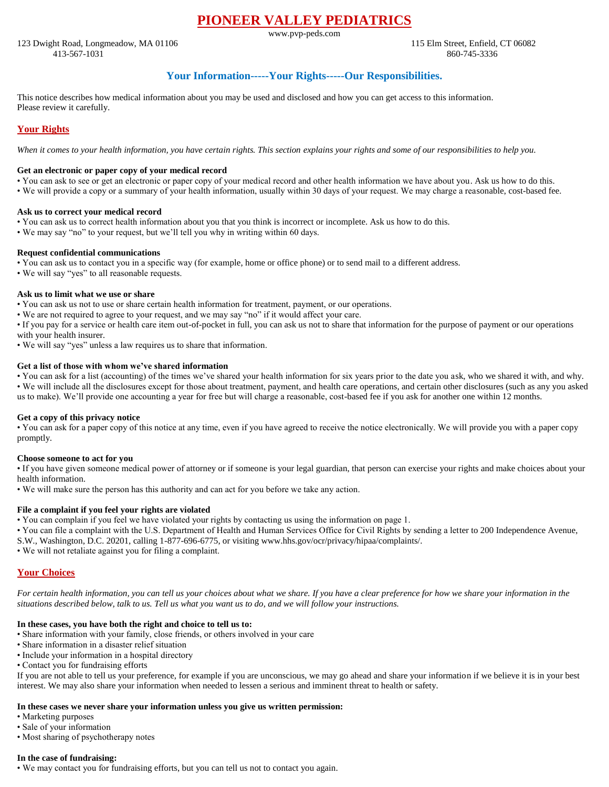# **PIONEER VALLEY PEDIATRICS**

www.pvp-peds.com

123 Dwight Road, Longmeadow, MA 01106 115 Elm Street, Enfield, CT 06082 413-567-1031 860-745-3336

# **Your Information-----Your Rights-----Our Responsibilities.**

This notice describes how medical information about you may be used and disclosed and how you can get access to this information. Please review it carefully.

# **Your Rights**

*When it comes to your health information, you have certain rights. This section explains your rights and some of our responsibilities to help you.*

### **Get an electronic or paper copy of your medical record**

- You can ask to see or get an electronic or paper copy of your medical record and other health information we have about you. Ask us how to do this.
- We will provide a copy or a summary of your health information, usually within 30 days of your request. We may charge a reasonable, cost-based fee.

### **Ask us to correct your medical record**

- You can ask us to correct health information about you that you think is incorrect or incomplete. Ask us how to do this.
- We may say "no" to your request, but we'll tell you why in writing within 60 days.

### **Request confidential communications**

• You can ask us to contact you in a specific way (for example, home or office phone) or to send mail to a different address.

• We will say "yes" to all reasonable requests.

### **Ask us to limit what we use or share**

• You can ask us not to use or share certain health information for treatment, payment, or our operations.

• We are not required to agree to your request, and we may say "no" if it would affect your care.

• If you pay for a service or health care item out-of-pocket in full, you can ask us not to share that information for the purpose of payment or our operations with your health insurer.

• We will say "yes" unless a law requires us to share that information.

### **Get a list of those with whom we've shared information**

• You can ask for a list (accounting) of the times we've shared your health information for six years prior to the date you ask, who we shared it with, and why. • We will include all the disclosures except for those about treatment, payment, and health care operations, and certain other disclosures (such as any you asked us to make). We'll provide one accounting a year for free but will charge a reasonable, cost-based fee if you ask for another one within 12 months.

### **Get a copy of this privacy notice**

• You can ask for a paper copy of this notice at any time, even if you have agreed to receive the notice electronically. We will provide you with a paper copy promptly.

### **Choose someone to act for you**

• If you have given someone medical power of attorney or if someone is your legal guardian, that person can exercise your rights and make choices about your health information.

• We will make sure the person has this authority and can act for you before we take any action.

### **File a complaint if you feel your rights are violated**

• You can complain if you feel we have violated your rights by contacting us using the information on page 1.

- You can file a complaint with the U.S. Department of Health and Human Services Office for Civil Rights by sending a letter to 200 Independence Avenue,
- S.W., Washington, D.C. 20201, calling 1-877-696-6775, or visiting www.hhs.gov/ocr/privacy/hipaa/complaints/.
- We will not retaliate against you for filing a complaint.

# **Your Choices**

*For certain health information, you can tell us your choices about what we share. If you have a clear preference for how we share your information in the situations described below, talk to us. Tell us what you want us to do, and we will follow your instructions.* 

### **In these cases, you have both the right and choice to tell us to:**

- Share information with your family, close friends, or others involved in your care
- Share information in a disaster relief situation
- Include your information in a hospital directory
- Contact you for fundraising efforts

If you are not able to tell us your preference, for example if you are unconscious, we may go ahead and share your information if we believe it is in your best interest. We may also share your information when needed to lessen a serious and imminent threat to health or safety.

# **In these cases we never share your information unless you give us written permission:**

- Marketing purposes
- Sale of your information
- Most sharing of psychotherapy notes

# **In the case of fundraising:**

• We may contact you for fundraising efforts, but you can tell us not to contact you again.